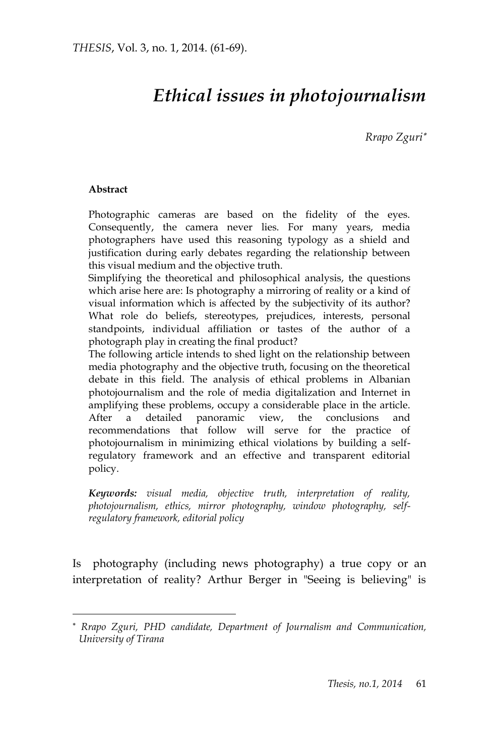# *Ethical issues in photojournalism*

 *Rrapo Zguri*

#### **Abstract**

 $\overline{a}$ 

Photographic cameras are based on the fidelity of the eyes. Consequently, the camera never lies. For many years, media photographers have used this reasoning typology as a shield and justification during early debates regarding the relationship between this visual medium and the objective truth.

Simplifying the theoretical and philosophical analysis, the questions which arise here are: Is photography a mirroring of reality or a kind of visual information which is affected by the subjectivity of its author? What role do beliefs, stereotypes, prejudices, interests, personal standpoints, individual affiliation or tastes of the author of a photograph play in creating the final product?

The following article intends to shed light on the relationship between media photography and the objective truth, focusing on the theoretical debate in this field. The analysis of ethical problems in Albanian photojournalism and the role of media digitalization and Internet in amplifying these problems, occupy a considerable place in the article. After a detailed panoramic view, the conclusions and recommendations that follow will serve for the practice of photojournalism in minimizing ethical violations by building a selfregulatory framework and an effective and transparent editorial policy.

*Keywords: visual media, objective truth, interpretation of reality, photojournalism, ethics, mirror photography, window photography, selfregulatory framework, editorial policy*

Is photography (including news photography) a true copy or an interpretation of reality? Arthur Berger in "Seeing is believing" is

*Rrapo Zguri, PHD candidate, Department of Journalism and Communication, University of Tirana*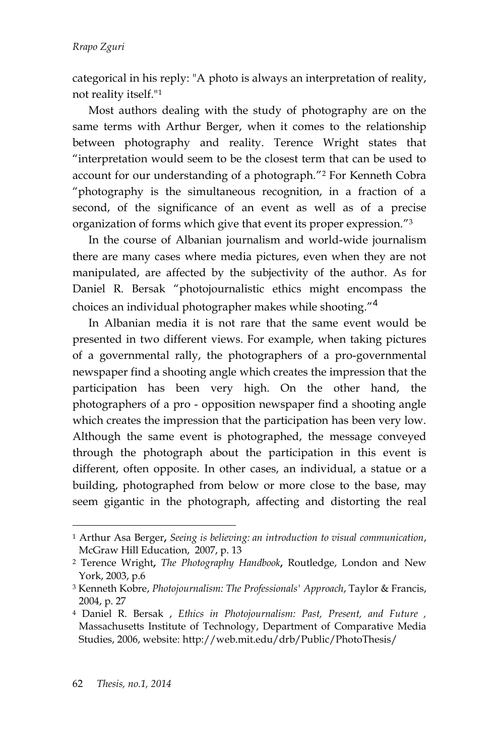categorical in his reply: "A photo is always an interpretation of reality, not reality itself."<sup>1</sup>

Most authors dealing with the study of photography are on the same terms with Arthur Berger, when it comes to the relationship between photography and reality. Terence Wright states that "interpretation would seem to be the closest term that can be used to account for our understanding of a photograph." <sup>2</sup> For Kenneth Cobra "photography is the simultaneous recognition, in a fraction of a second, of the significance of an event as well as of a precise organization of forms which give that event its proper expression." 3

In the course of Albanian journalism and world-wide journalism there are many cases where media pictures, even when they are not manipulated, are affected by the subjectivity of the author. As for Daniel R. Bersak "photojournalistic ethics might encompass the choices an individual photographer makes while shooting."<sup>4</sup>

In Albanian media it is not rare that the same event would be presented in two different views. For example, when taking pictures of a governmental rally, the photographers of a pro-governmental newspaper find a shooting angle which creates the impression that the participation has been very high. On the other hand, the photographers of a pro - opposition newspaper find a shooting angle which creates the impression that the participation has been very low. Although the same event is photographed, the message conveyed through the photograph about the participation in this event is different, often opposite. In other cases, an individual, a statue or a building, photographed from below or more close to the base, may seem gigantic in the photograph, affecting and distorting the real

<sup>1</sup> [Arthur Asa Berger](http://www.google.al/search?tbo=p&tbm=bks&q=inauthor:%22Arthur+Asa+Berger%22)**,** *Seeing is believing: an introduction to visual communication*, McGraw Hill Education, 2007, p. 13

<sup>2</sup> Terence Wright**,** *The Photography Handbook***,** Routledge, London and New York, 2003, p.6

<sup>3</sup> [Kenneth Kobre,](http://www.google.al/search?tbo=p&tbm=bks&q=inauthor:%22Kenneth+Kobre%22&source=gbs_metadata_r&cad=9) *Photojournalism: The Professionals' Approach*, Taylor & Francis, 2004, p. 27

<sup>4</sup> Daniel R. Bersak , *Ethics in Photojournalism: Past, Present, and Future ,* Massachusetts Institute of Technology, Department of Comparative Media Studies, 2006, website: http://web.mit.edu/drb/Public/PhotoThesis/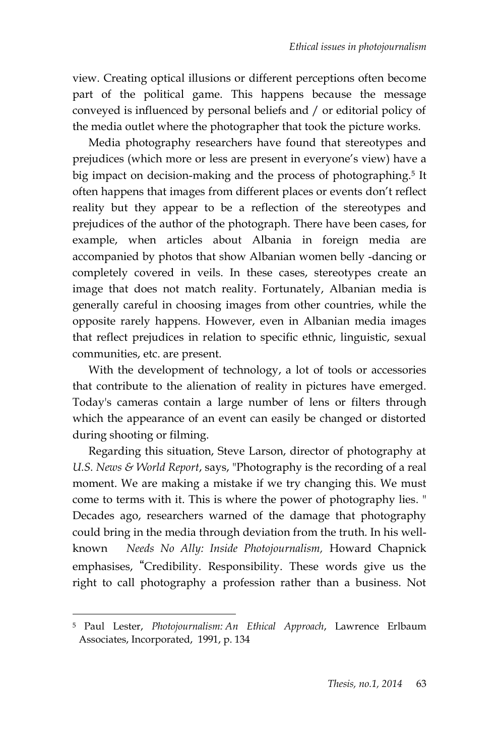view. Creating optical illusions or different perceptions often become part of the political game. This happens because the message conveyed is influenced by personal beliefs and / or editorial policy of the media outlet where the photographer that took the picture works.

Media photography researchers have found that stereotypes and prejudices (which more or less are present in everyone's view) have a big impact on decision-making and the process of photographing. 5 It often happens that images from different places or events don't reflect reality but they appear to be a reflection of the stereotypes and prejudices of the author of the photograph. There have been cases, for example, when articles about Albania in foreign media are accompanied by photos that show Albanian women belly -dancing or completely covered in veils. In these cases, stereotypes create an image that does not match reality. Fortunately, Albanian media is generally careful in choosing images from other countries, while the opposite rarely happens. However, even in Albanian media images that reflect prejudices in relation to specific ethnic, linguistic, sexual communities, etc. are present.

With the development of technology, a lot of tools or accessories that contribute to the alienation of reality in pictures have emerged. Today's cameras contain a large number of lens or filters through which the appearance of an event can easily be changed or distorted during shooting or filming.

Regarding this situation, Steve Larson, director of photography at *U.S. News & World Report*, says, "Photography is the recording of a real moment. We are making a mistake if we try changing this. We must come to terms with it. This is where the power of photography lies. " Decades ago, researchers warned of the damage that photography could bring in the media through deviation from the truth. In his wellknown *Needs No Ally: Inside Photojournalism,* Howard Chapnick emphasises, "Credibility. Responsibility. These words give us the right to call photography a profession rather than a business. Not

<sup>5</sup> [Paul Lester,](http://www.google.al/search?tbo=p&tbm=bks&q=inauthor:%22Paul+Lester%22) *Photojournalism: An Ethical Approach*, Lawrence Erlbaum Associates, Incorporated, 1991, p. 134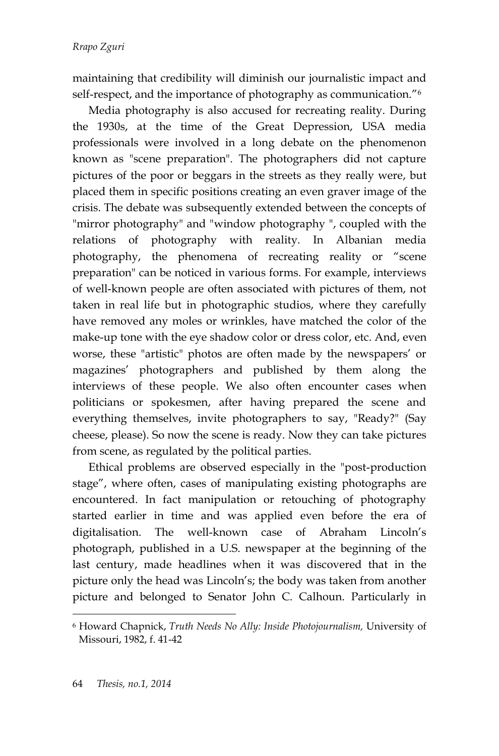maintaining that credibility will diminish our journalistic impact and self-respect, and the importance of photography as communication." $\rm ^6$ 

Media photography is also accused for recreating reality. During the 1930s, at the time of the Great Depression, USA media professionals were involved in a long debate on the phenomenon known as "scene preparation". The photographers did not capture pictures of the poor or beggars in the streets as they really were, but placed them in specific positions creating an even graver image of the crisis. The debate was subsequently extended between the concepts of "mirror photography" and "window photography ", coupled with the relations of photography with reality. In Albanian media photography, the phenomena of recreating reality or "scene preparation" can be noticed in various forms. For example, interviews of well-known people are often associated with pictures of them, not taken in real life but in photographic studios, where they carefully have removed any moles or wrinkles, have matched the color of the make-up tone with the eye shadow color or dress color, etc. And, even worse, these "artistic" photos are often made by the newspapers' or magazines' photographers and published by them along the interviews of these people. We also often encounter cases when politicians or spokesmen, after having prepared the scene and everything themselves, invite photographers to say, "Ready?" (Say cheese, please). So now the scene is ready. Now they can take pictures from scene, as regulated by the political parties.

Ethical problems are observed especially in the "post-production stage", where often, cases of manipulating existing photographs are encountered. In fact manipulation or retouching of photography started earlier in time and was applied even before the era of digitalisation. The well-known case of Abraham Lincoln's photograph, published in a U.S. newspaper at the beginning of the last century, made headlines when it was discovered that in the picture only the head was Lincoln's; the body was taken from another picture and belonged to Senator John C. Calhoun. Particularly in

<sup>6</sup> Howard Chapnick, *Truth Needs No Ally: Inside Photojournalism,* University of Missouri, 1982, f. 41-42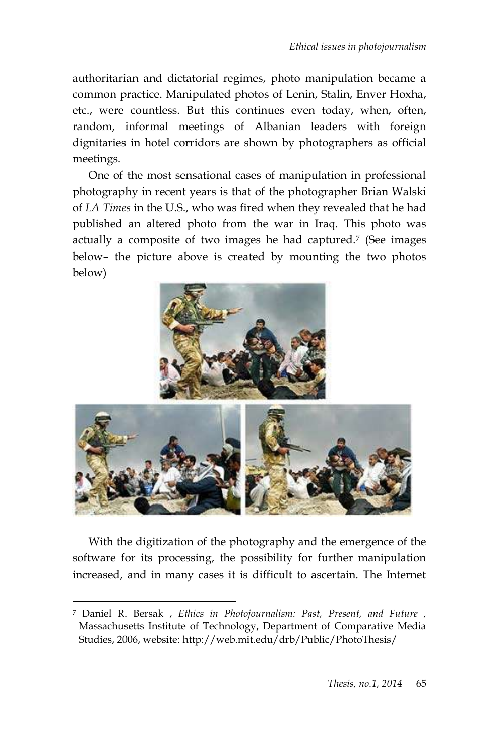authoritarian and dictatorial regimes, photo manipulation became a common practice. Manipulated photos of Lenin, Stalin, Enver Hoxha, etc., were countless. But this continues even today, when, often, random, informal meetings of Albanian leaders with foreign dignitaries in hotel corridors are shown by photographers as official meetings.

One of the most sensational cases of manipulation in professional photography in recent years is that of the photographer Brian Walski of *LA Times* in the U.S., who was fired when they revealed that he had published an altered photo from the war in Iraq. This photo was actually a composite of two images he had captured.<sup>7</sup> (See images below– the picture above is created by mounting the two photos below)





With the digitization of the photography and the emergence of the software for its processing, the possibility for further manipulation increased, and in many cases it is difficult to ascertain. The Internet

<sup>7</sup> Daniel R. Bersak , *Ethics in Photojournalism: Past, Present, and Future ,* Massachusetts Institute of Technology, Department of Comparative Media Studies, 2006, website: http://web.mit.edu/drb/Public/PhotoThesis/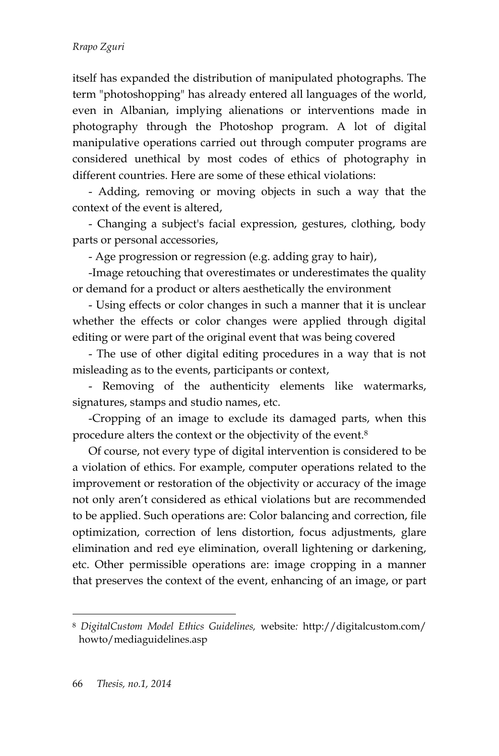#### *Rrapo Zguri*

itself has expanded the distribution of manipulated photographs. The term "photoshopping" has already entered all languages of the world, even in Albanian, implying alienations or interventions made in photography through the Photoshop program. A lot of digital manipulative operations carried out through computer programs are considered unethical by most codes of ethics of photography in different countries. Here are some of these ethical violations:

- Adding, removing or moving objects in such a way that the context of the event is altered,

- Changing a subject's facial expression, gestures, clothing, body parts or personal accessories,

- Age progression or regression (e.g. adding gray to hair),

-Image retouching that overestimates or underestimates the quality or demand for a product or alters aesthetically the environment

- Using effects or color changes in such a manner that it is unclear whether the effects or color changes were applied through digital editing or were part of the original event that was being covered

- The use of other digital editing procedures in a way that is not misleading as to the events, participants or context,

- Removing of the authenticity elements like watermarks, signatures, stamps and studio names, etc.

-Cropping of an image to exclude its damaged parts, when this procedure alters the context or the objectivity of the event.<sup>8</sup>

Of course, not every type of digital intervention is considered to be a violation of ethics. For example, computer operations related to the improvement or restoration of the objectivity or accuracy of the image not only aren't considered as ethical violations but are recommended to be applied. Such operations are: Color balancing and correction, file optimization, correction of lens distortion, focus adjustments, glare elimination and red eye elimination, overall lightening or darkening, etc. Other permissible operations are: image cropping in a manner that preserves the context of the event, enhancing of an image, or part

<sup>8</sup> *DigitalCustom Model Ethics Guidelines,* website*:* http://digitalcustom.com/ howto/mediaguidelines.asp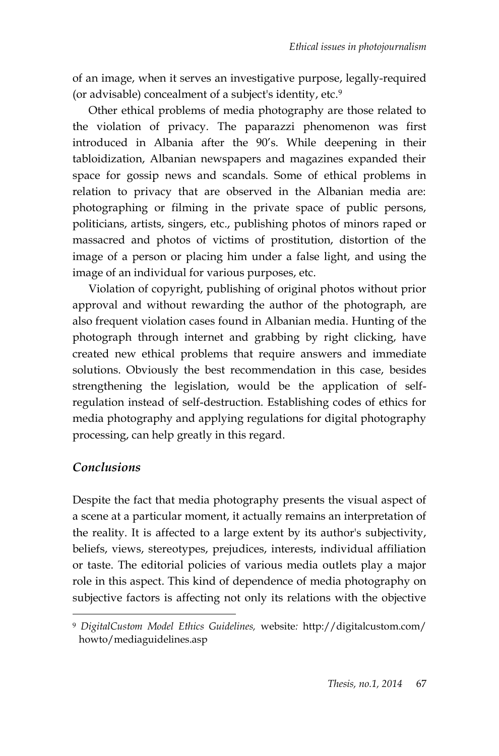of an image, when it serves an investigative purpose, legally-required (or advisable) concealment of a subject's identity, etc. 9

Other ethical problems of media photography are those related to the violation of privacy. The paparazzi phenomenon was first introduced in Albania after the 90's. While deepening in their tabloidization, Albanian newspapers and magazines expanded their space for gossip news and scandals. Some of ethical problems in relation to privacy that are observed in the Albanian media are: photographing or filming in the private space of public persons, politicians, artists, singers, etc., publishing photos of minors raped or massacred and photos of victims of prostitution, distortion of the image of a person or placing him under a false light, and using the image of an individual for various purposes, etc.

Violation of copyright, publishing of original photos without prior approval and without rewarding the author of the photograph, are also frequent violation cases found in Albanian media. Hunting of the photograph through internet and grabbing by right clicking, have created new ethical problems that require answers and immediate solutions. Obviously the best recommendation in this case, besides strengthening the legislation, would be the application of selfregulation instead of self-destruction. Establishing codes of ethics for media photography and applying regulations for digital photography processing, can help greatly in this regard.

## *Conclusions*

 $\overline{a}$ 

Despite the fact that media photography presents the visual aspect of a scene at a particular moment, it actually remains an interpretation of the reality. It is affected to a large extent by its author's subjectivity, beliefs, views, stereotypes, prejudices, interests, individual affiliation or taste. The editorial policies of various media outlets play a major role in this aspect. This kind of dependence of media photography on subjective factors is affecting not only its relations with the objective

<sup>9</sup> *DigitalCustom Model Ethics Guidelines,* website*:* [http://digitalcustom.com/](http://digitalcustom.com/howto/mediaguidelines.asp) [howto/mediaguidelines.asp](http://digitalcustom.com/howto/mediaguidelines.asp)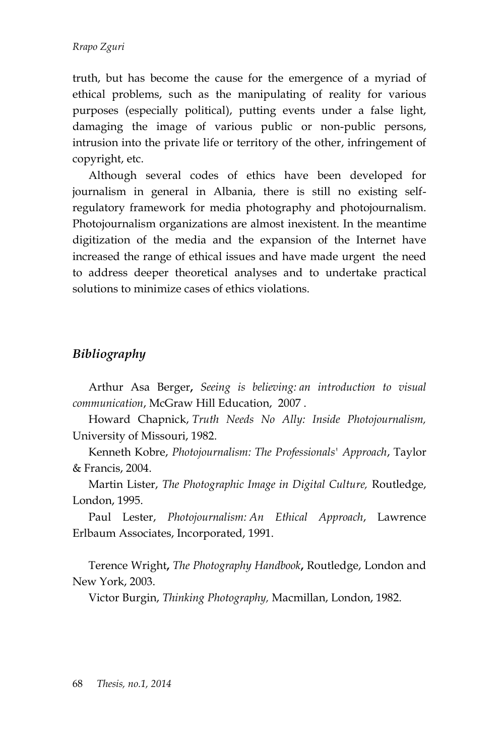truth, but has become the cause for the emergence of a myriad of ethical problems, such as the manipulating of reality for various purposes (especially political), putting events under a false light, damaging the image of various public or non-public persons, intrusion into the private life or territory of the other, infringement of copyright, etc.

Although several codes of ethics have been developed for journalism in general in Albania, there is still no existing selfregulatory framework for media photography and photojournalism. Photojournalism organizations are almost inexistent. In the meantime digitization of the media and the expansion of the Internet have increased the range of ethical issues and have made urgent the need to address deeper theoretical analyses and to undertake practical solutions to minimize cases of ethics violations.

### *Bibliography*

[Arthur Asa Berger](http://www.google.al/search?tbo=p&tbm=bks&q=inauthor:%22Arthur+Asa+Berger%22)**,** *Seeing is believing: an introduction to visual communication*, McGraw Hill Education, 2007 .

Howard Chapnick, *Truth Needs No Ally: Inside Photojournalism,*  University of Missouri, 1982.

[Kenneth Kobre,](http://www.google.al/search?tbo=p&tbm=bks&q=inauthor:%22Kenneth+Kobre%22&source=gbs_metadata_r&cad=9) *Photojournalism: The Professionals' Approach*, Taylor & Francis, 2004.

Martin Lister, *The Photographic Image in Digital Culture,* Routledge, London, 1995.

[Paul Lester,](http://www.google.al/search?tbo=p&tbm=bks&q=inauthor:%22Paul+Lester%22) *Photojournalism: An Ethical Approach*, Lawrence Erlbaum Associates, Incorporated, 1991.

Terence Wright**,** *The Photography Handbook***,** Routledge, London and New York, 2003.

Victor Burgin, *Thinking Photography,* Macmillan, London, 1982.